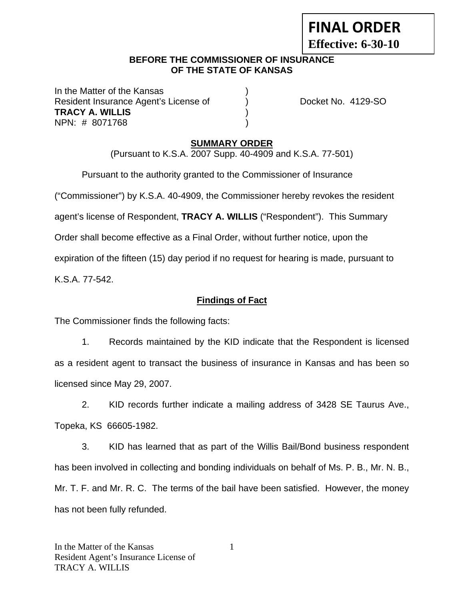# **FINAL ORDER Effective: 6-30-10**

#### **BEFORE THE COMMISSIONER OF INSURANCE OF THE STATE OF KANSAS**

In the Matter of the Kansas Resident Insurance Agent's License of (a) The Docket No. 4129-SO **TRACY A. WILLIS** ) NPN: # 8071768 )

#### **SUMMARY ORDER**

(Pursuant to K.S.A. 2007 Supp. 40-4909 and K.S.A. 77-501)

Pursuant to the authority granted to the Commissioner of Insurance

("Commissioner") by K.S.A. 40-4909, the Commissioner hereby revokes the resident

agent's license of Respondent, **TRACY A. WILLIS** ("Respondent"). This Summary

Order shall become effective as a Final Order, without further notice, upon the

expiration of the fifteen (15) day period if no request for hearing is made, pursuant to

K.S.A. 77-542.

## **Findings of Fact**

The Commissioner finds the following facts:

 1. Records maintained by the KID indicate that the Respondent is licensed as a resident agent to transact the business of insurance in Kansas and has been so licensed since May 29, 2007.

 2. KID records further indicate a mailing address of 3428 SE Taurus Ave., Topeka, KS 66605-1982.

 3. KID has learned that as part of the Willis Bail/Bond business respondent has been involved in collecting and bonding individuals on behalf of Ms. P. B., Mr. N. B., Mr. T. F. and Mr. R. C. The terms of the bail have been satisfied. However, the money has not been fully refunded.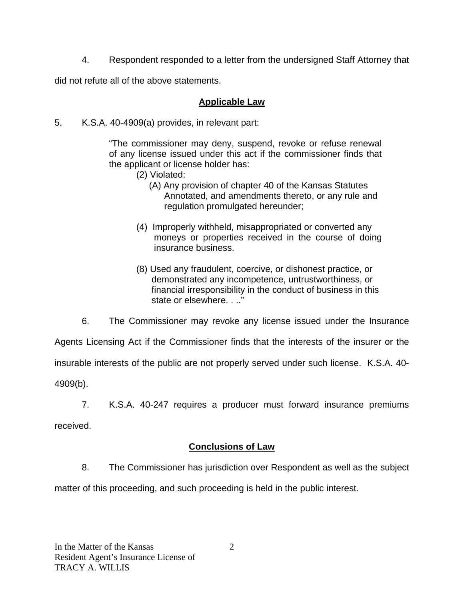4. Respondent responded to a letter from the undersigned Staff Attorney that

did not refute all of the above statements.

#### **Applicable Law**

5. K.S.A. 40-4909(a) provides, in relevant part:

"The commissioner may deny, suspend, revoke or refuse renewal of any license issued under this act if the commissioner finds that the applicant or license holder has:

- (2) Violated:
	- (A) Any provision of chapter 40 of the Kansas Statutes Annotated, and amendments thereto, or any rule and regulation promulgated hereunder;
- (4) Improperly withheld, misappropriated or converted any moneys or properties received in the course of doing insurance business.
- (8) Used any fraudulent, coercive, or dishonest practice, or demonstrated any incompetence, untrustworthiness, or financial irresponsibility in the conduct of business in this state or elsewhere. . .."

 6. The Commissioner may revoke any license issued under the Insurance Agents Licensing Act if the Commissioner finds that the interests of the insurer or the insurable interests of the public are not properly served under such license. K.S.A. 40- 4909(b).

7. K.S.A. 40-247 requires a producer must forward insurance premiums

received.

## **Conclusions of Law**

8. The Commissioner has jurisdiction over Respondent as well as the subject

matter of this proceeding, and such proceeding is held in the public interest.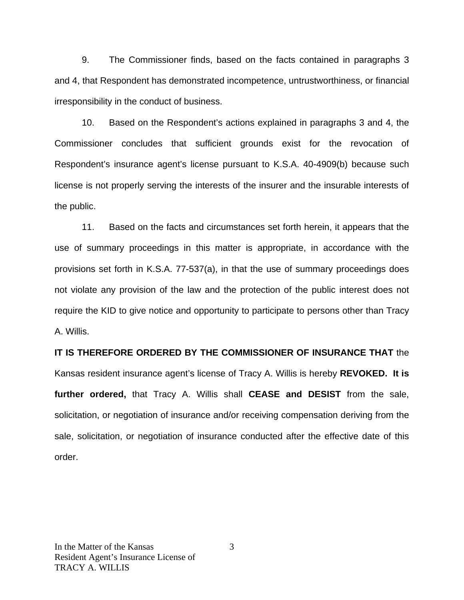9. The Commissioner finds, based on the facts contained in paragraphs 3 and 4, that Respondent has demonstrated incompetence, untrustworthiness, or financial irresponsibility in the conduct of business.

 10. Based on the Respondent's actions explained in paragraphs 3 and 4, the Commissioner concludes that sufficient grounds exist for the revocation of Respondent's insurance agent's license pursuant to K.S.A. 40-4909(b) because such license is not properly serving the interests of the insurer and the insurable interests of the public.

 11. Based on the facts and circumstances set forth herein, it appears that the use of summary proceedings in this matter is appropriate, in accordance with the provisions set forth in K.S.A. 77-537(a), in that the use of summary proceedings does not violate any provision of the law and the protection of the public interest does not require the KID to give notice and opportunity to participate to persons other than Tracy A. Willis.

# **IT IS THEREFORE ORDERED BY THE COMMISSIONER OF INSURANCE THAT** the

Kansas resident insurance agent's license of Tracy A. Willis is hereby **REVOKED. It is further ordered,** that Tracy A. Willis shall **CEASE and DESIST** from the sale, solicitation, or negotiation of insurance and/or receiving compensation deriving from the sale, solicitation, or negotiation of insurance conducted after the effective date of this order.

3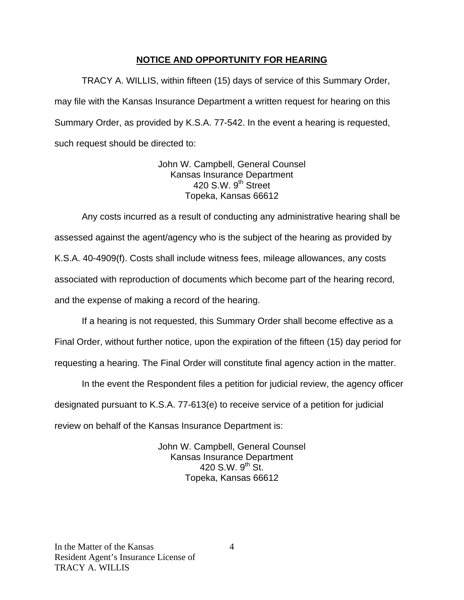#### **NOTICE AND OPPORTUNITY FOR HEARING**

TRACY A. WILLIS, within fifteen (15) days of service of this Summary Order, may file with the Kansas Insurance Department a written request for hearing on this Summary Order, as provided by K.S.A. 77-542. In the event a hearing is requested, such request should be directed to:

> John W. Campbell, General Counsel Kansas Insurance Department 420 S.W.  $9<sup>th</sup>$  Street Topeka, Kansas 66612

Any costs incurred as a result of conducting any administrative hearing shall be assessed against the agent/agency who is the subject of the hearing as provided by K.S.A. 40-4909(f). Costs shall include witness fees, mileage allowances, any costs associated with reproduction of documents which become part of the hearing record, and the expense of making a record of the hearing.

If a hearing is not requested, this Summary Order shall become effective as a

Final Order, without further notice, upon the expiration of the fifteen (15) day period for

requesting a hearing. The Final Order will constitute final agency action in the matter.

In the event the Respondent files a petition for judicial review, the agency officer designated pursuant to K.S.A. 77-613(e) to receive service of a petition for judicial review on behalf of the Kansas Insurance Department is:

> John W. Campbell, General Counsel Kansas Insurance Department 420 S.W.  $9^{th}$  St. Topeka, Kansas 66612

4